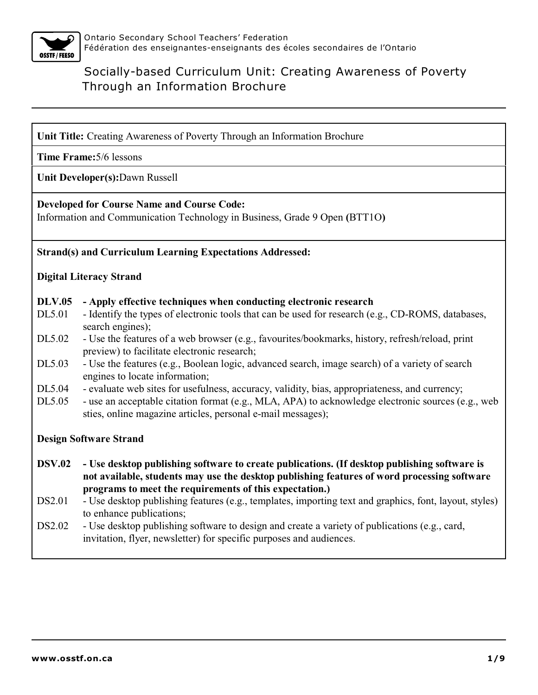

**Unit Title:** Creating Awareness of Poverty Through an Information Brochure

**Time Frame:**5/6 lessons

**Unit Developer(s):**Dawn Russell

#### **Developed for Course Name and Course Code:**

Information and Communication Technology in Business, Grade 9 Open **(**BTT1O**)**

#### **Strand(s) and Curriculum Learning Expectations Addressed:**

#### **Digital Literacy Strand**

#### **DLV.05 - Apply effective techniques when conducting electronic research**

- DL5.01 Identify the types of electronic tools that can be used for research (e.g., CD-ROMS, databases, search engines);
- DL5.02 Use the features of a web browser (e.g., favourites/bookmarks, history, refresh/reload, print preview) to facilitate electronic research;
- DL5.03 Use the features (e.g., Boolean logic, advanced search, image search) of a variety of search engines to locate information;
- DL5.04 evaluate web sites for usefulness, accuracy, validity, bias, appropriateness, and currency;
- DL5.05 use an acceptable citation format (e.g., MLA, APA) to acknowledge electronic sources (e.g., web sties, online magazine articles, personal e-mail messages);

#### **Design Software Strand**

- **DSV.02 Use desktop publishing software to create publications. (If desktop publishing software is not available, students may use the desktop publishing features of word processing software programs to meet the requirements of this expectation.)**
- DS2.01 Use desktop publishing features (e.g., templates, importing text and graphics, font, layout, styles) to enhance publications;
- DS2.02 Use desktop publishing software to design and create a variety of publications (e.g., card, invitation, flyer, newsletter) for specific purposes and audiences.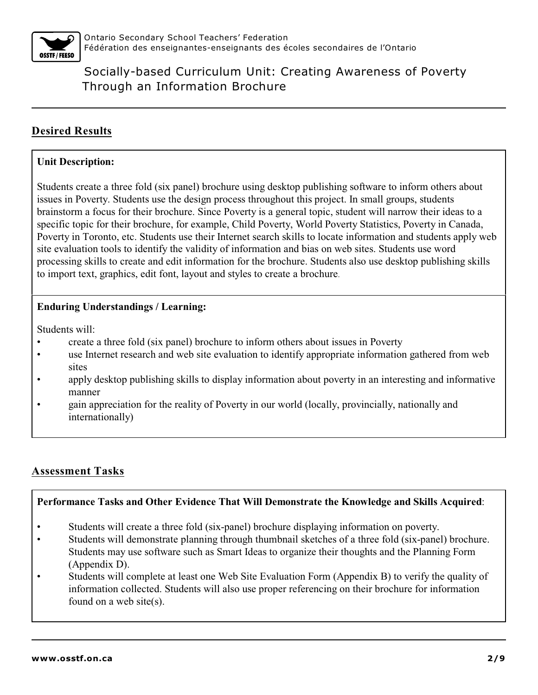

# **Desired Results**

### **Unit Description:**

Students create a three fold (six panel) brochure using desktop publishing software to inform others about issues in Poverty. Students use the design process throughout this project. In small groups, students brainstorm a focus for their brochure. Since Poverty is a general topic, student will narrow their ideas to a specific topic for their brochure, for example, Child Poverty, World Poverty Statistics, Poverty in Canada, Poverty in Toronto, etc. Students use their Internet search skills to locate information and students apply web site evaluation tools to identify the validity of information and bias on web sites. Students use word processing skills to create and edit information for the brochure. Students also use desktop publishing skills to import text, graphics, edit font, layout and styles to create a brochure.

### **Enduring Understandings / Learning:**

Students will:

- create a three fold (six panel) brochure to inform others about issues in Poverty
- use Internet research and web site evaluation to identify appropriate information gathered from web sites
- apply desktop publishing skills to display information about poverty in an interesting and informative manner
- gain appreciation for the reality of Poverty in our world (locally, provincially, nationally and internationally)

# **Assessment Tasks**

### **Performance Tasks and Other Evidence That Will Demonstrate the Knowledge and Skills Acquired**:

- Students will create a three fold (six-panel) brochure displaying information on poverty.
- Students will demonstrate planning through thumbnail sketches of a three fold (six-panel) brochure. Students may use software such as Smart Ideas to organize their thoughts and the Planning Form (Appendix D).
- Students will complete at least one Web Site Evaluation Form (Appendix B) to verify the quality of information collected. Students will also use proper referencing on their brochure for information found on a web site(s).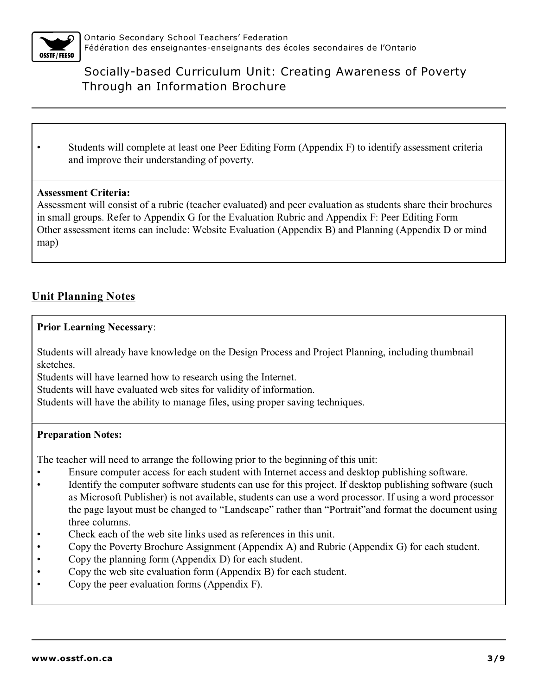

• Students will complete at least one Peer Editing Form (Appendix F) to identify assessment criteria and improve their understanding of poverty.

#### **Assessment Criteria:**

Assessment will consist of a rubric (teacher evaluated) and peer evaluation as students share their brochures in small groups. Refer to Appendix G for the Evaluation Rubric and Appendix F: Peer Editing Form Other assessment items can include: Website Evaluation (Appendix B) and Planning (Appendix D or mind map)

## **Unit Planning Notes**

#### **Prior Learning Necessary**:

Students will already have knowledge on the Design Process and Project Planning, including thumbnail sketches.

Students will have learned how to research using the Internet.

Students will have evaluated web sites for validity of information.

Students will have the ability to manage files, using proper saving techniques.

#### **Preparation Notes:**

The teacher will need to arrange the following prior to the beginning of this unit:

- Ensure computer access for each student with Internet access and desktop publishing software.
- Identify the computer software students can use for this project. If desktop publishing software (such as Microsoft Publisher) is not available, students can use a word processor. If using a word processor the page layout must be changed to "Landscape" rather than "Portrait"and format the document using three columns.
- Check each of the web site links used as references in this unit.
- Copy the Poverty Brochure Assignment (Appendix A) and Rubric (Appendix G) for each student.
- Copy the planning form (Appendix D) for each student.
- Copy the web site evaluation form (Appendix B) for each student.
- Copy the peer evaluation forms (Appendix F).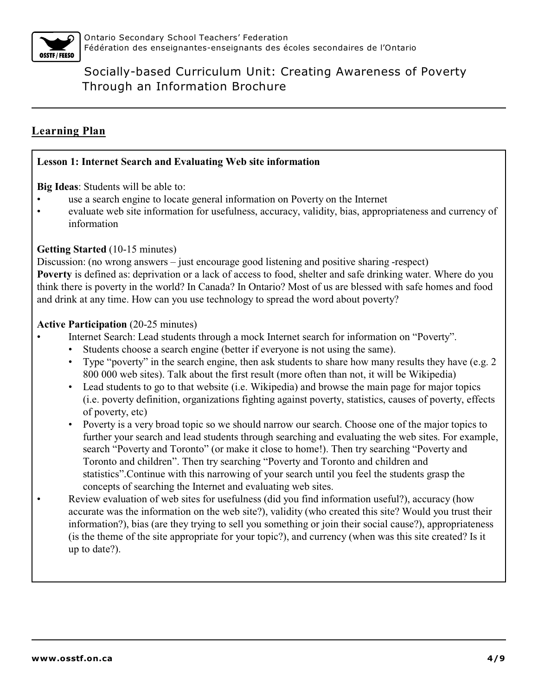

# **Learning Plan**

#### **Lesson 1: Internet Search and Evaluating Web site information**

**Big Ideas**: Students will be able to:

- use a search engine to locate general information on Poverty on the Internet
- evaluate web site information for usefulness, accuracy, validity, bias, appropriateness and currency of information

### **Getting Started** (10-15 minutes)

Discussion: (no wrong answers – just encourage good listening and positive sharing -respect) **Poverty** is defined as: deprivation or a lack of access to food, shelter and safe drinking water. Where do you think there is poverty in the world? In Canada? In Ontario? Most of us are blessed with safe homes and food and drink at any time. How can you use technology to spread the word about poverty?

#### **Active Participation** (20-25 minutes)

- Internet Search: Lead students through a mock Internet search for information on "Poverty".
	- Students choose a search engine (better if everyone is not using the same).
	- Type "poverty" in the search engine, then ask students to share how many results they have (e.g. 2) 800 000 web sites). Talk about the first result (more often than not, it will be Wikipedia)
	- Lead students to go to that website (i.e. Wikipedia) and browse the main page for major topics (i.e. poverty definition, organizations fighting against poverty, statistics, causes of poverty, effects of poverty, etc)
	- Poverty is a very broad topic so we should narrow our search. Choose one of the major topics to further your search and lead students through searching and evaluating the web sites. For example, search "Poverty and Toronto" (or make it close to home!). Then try searching "Poverty and Toronto and children". Then try searching "Poverty and Toronto and children and statistics".Continue with this narrowing of your search until you feel the students grasp the concepts of searching the Internet and evaluating web sites.
- Review evaluation of web sites for usefulness (did you find information useful?), accuracy (how accurate was the information on the web site?), validity (who created this site? Would you trust their information?), bias (are they trying to sell you something or join their social cause?), appropriateness (is the theme of the site appropriate for your topic?), and currency (when was this site created? Is it up to date?).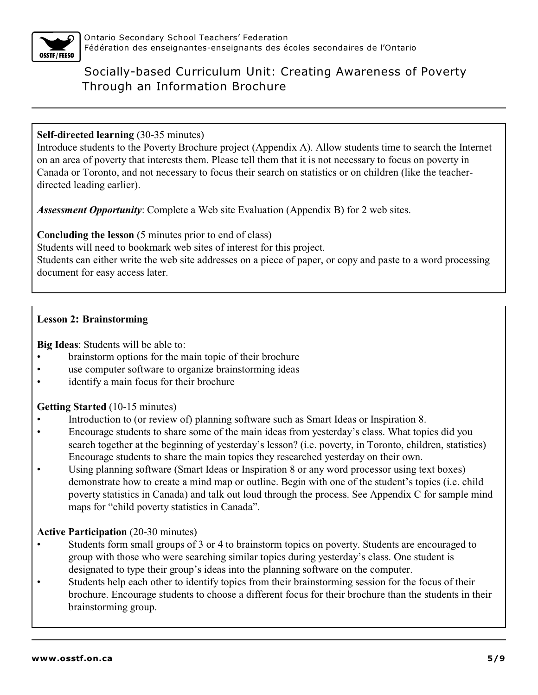

## **Self-directed learning** (30-35 minutes)

Introduce students to the Poverty Brochure project (Appendix A). Allow students time to search the Internet on an area of poverty that interests them. Please tell them that it is not necessary to focus on poverty in Canada or Toronto, and not necessary to focus their search on statistics or on children (like the teacherdirected leading earlier).

*Assessment Opportunity*: Complete a Web site Evaluation (Appendix B) for 2 web sites.

**Concluding the lesson** (5 minutes prior to end of class)

Students will need to bookmark web sites of interest for this project.

Students can either write the web site addresses on a piece of paper, or copy and paste to a word processing document for easy access later.

## **Lesson 2: Brainstorming**

**Big Ideas**: Students will be able to:

- brainstorm options for the main topic of their brochure
- use computer software to organize brainstorming ideas
- identify a main focus for their brochure

### **Getting Started** (10-15 minutes)

- Introduction to (or review of) planning software such as Smart Ideas or Inspiration 8.
- Encourage students to share some of the main ideas from yesterday's class. What topics did you search together at the beginning of yesterday's lesson? (i.e. poverty, in Toronto, children, statistics) Encourage students to share the main topics they researched yesterday on their own.
- Using planning software (Smart Ideas or Inspiration 8 or any word processor using text boxes) demonstrate how to create a mind map or outline. Begin with one of the student's topics (i.e. child poverty statistics in Canada) and talk out loud through the process. See Appendix C for sample mind maps for "child poverty statistics in Canada".

### **Active Participation** (20-30 minutes)

- Students form small groups of 3 or 4 to brainstorm topics on poverty. Students are encouraged to group with those who were searching similar topics during yesterday's class. One student is designated to type their group's ideas into the planning software on the computer.
- Students help each other to identify topics from their brainstorming session for the focus of their brochure. Encourage students to choose a different focus for their brochure than the students in their brainstorming group.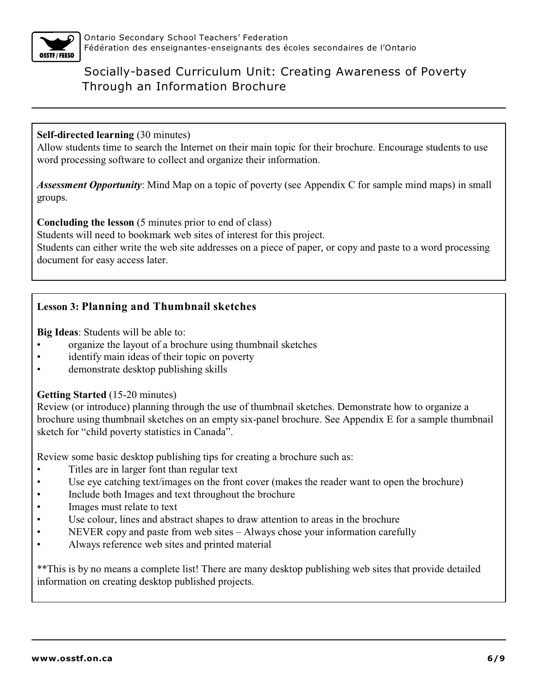

#### **Self-directed learning** (30 minutes)

Allow students time to search the Internet on their main topic for their brochure. Encourage students to use word processing software to collect and organize their information.

*Assessment Opportunity*: Mind Map on a topic of poverty (see Appendix C for sample mind maps) in small groups.

**Concluding the lesson** (5 minutes prior to end of class)

Students will need to bookmark web sites of interest for this project.

Students can either write the web site addresses on a piece of paper, or copy and paste to a word processing document for easy access later.

## **Lesson 3: Planning and Thumbnail sketches**

**Big Ideas**: Students will be able to:

- organize the layout of a brochure using thumbnail sketches
- identify main ideas of their topic on poverty
- demonstrate desktop publishing skills

#### **Getting Started** (15-20 minutes)

Review (or introduce) planning through the use of thumbnail sketches. Demonstrate how to organize a brochure using thumbnail sketches on an empty six-panel brochure. See Appendix E for a sample thumbnail sketch for "child poverty statistics in Canada".

Review some basic desktop publishing tips for creating a brochure such as:

- Titles are in larger font than regular text
- Use eye catching text/images on the front cover (makes the reader want to open the brochure)
- Include both Images and text throughout the brochure
- Images must relate to text
- Use colour, lines and abstract shapes to draw attention to areas in the brochure
- NEVER copy and paste from web sites Always chose your information carefully
- Always reference web sites and printed material

\*\*This is by no means a complete list! There are many desktop publishing web sites that provide detailed information on creating desktop published projects.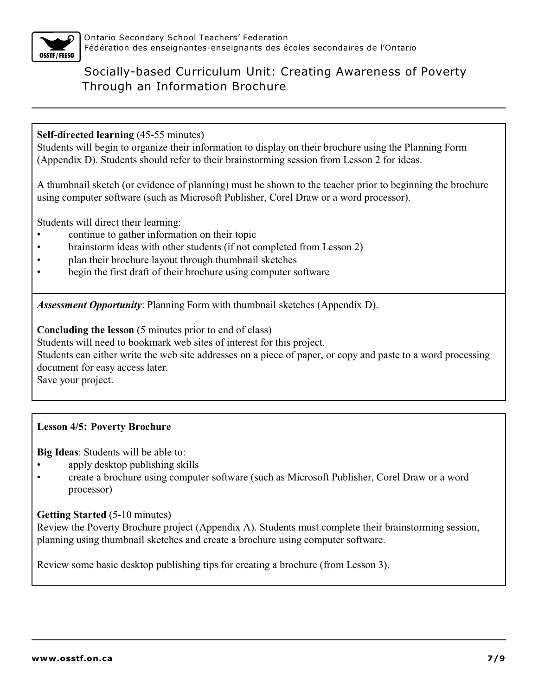

### **Self-directed learning** (45-55 minutes)

Students will begin to organize their information to display on their brochure using the Planning Form (Appendix D). Students should refer to their brainstorming session from Lesson 2 for ideas.

A thumbnail sketch (or evidence of planning) must be shown to the teacher prior to beginning the brochure using computer software (such as Microsoft Publisher, Corel Draw or a word processor).

Students will direct their learning:

- continue to gather information on their topic
- brainstorm ideas with other students (if not completed from Lesson 2)
- plan their brochure layout through thumbnail sketches
- begin the first draft of their brochure using computer software

*Assessment Opportunity*: Planning Form with thumbnail sketches (Appendix D).

**Concluding the lesson** (5 minutes prior to end of class)

Students will need to bookmark web sites of interest for this project.

Students can either write the web site addresses on a piece of paper, or copy and paste to a word processing document for easy access later.

Save your project.

### **Lesson 4/5: Poverty Brochure**

**Big Ideas**: Students will be able to:

- apply desktop publishing skills
- create a brochure using computer software (such as Microsoft Publisher, Corel Draw or a word processor)

#### **Getting Started** (5-10 minutes)

Review the Poverty Brochure project (Appendix A). Students must complete their brainstorming session, planning using thumbnail sketches and create a brochure using computer software.

Review some basic desktop publishing tips for creating a brochure (from Lesson 3).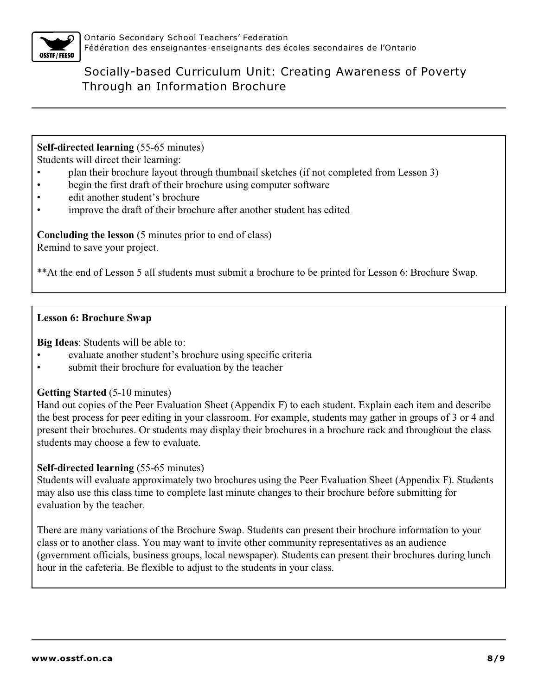

**Self-directed learning** (55-65 minutes)

Students will direct their learning:

- plan their brochure layout through thumbnail sketches (if not completed from Lesson 3)
- begin the first draft of their brochure using computer software
- edit another student's brochure
- improve the draft of their brochure after another student has edited

**Concluding the lesson** (5 minutes prior to end of class) Remind to save your project.

\*\*At the end of Lesson 5 all students must submit a brochure to be printed for Lesson 6: Brochure Swap.

#### **Lesson 6: Brochure Swap**

**Big Ideas**: Students will be able to:

- evaluate another student's brochure using specific criteria
- submit their brochure for evaluation by the teacher

### **Getting Started** (5-10 minutes)

Hand out copies of the Peer Evaluation Sheet (Appendix F) to each student. Explain each item and describe the best process for peer editing in your classroom. For example, students may gather in groups of 3 or 4 and present their brochures. Or students may display their brochures in a brochure rack and throughout the class students may choose a few to evaluate.

### **Self-directed learning** (55-65 minutes)

Students will evaluate approximately two brochures using the Peer Evaluation Sheet (Appendix F). Students may also use this class time to complete last minute changes to their brochure before submitting for evaluation by the teacher.

There are many variations of the Brochure Swap. Students can present their brochure information to your class or to another class. You may want to invite other community representatives as an audience (government officials, business groups, local newspaper). Students can present their brochures during lunch hour in the cafeteria. Be flexible to adjust to the students in your class.